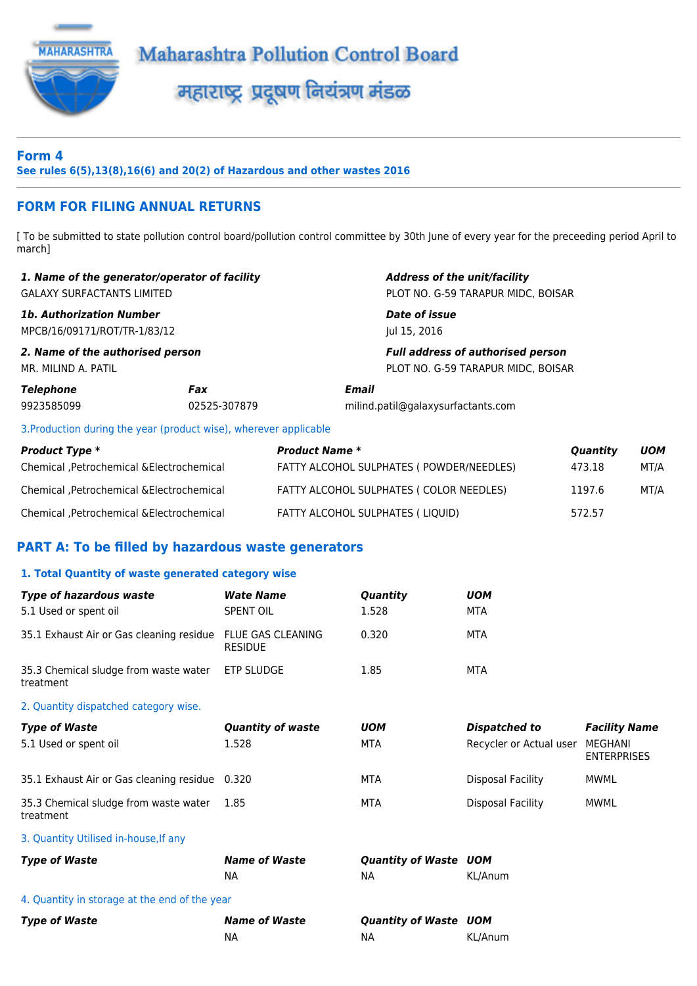

### **Form 4 See rules 6(5),13(8),16(6) and 20(2) of Hazardous and other wastes 2016**

# **FORM FOR FILING ANNUAL RETURNS**

[ To be submitted to state pollution control board/pollution control committee by 30th June of every year for the preceeding period April to march]

|                                                                 | 1. Name of the generator/operator of facility                     | <b>Address of the unit/facility</b>                                            |
|-----------------------------------------------------------------|-------------------------------------------------------------------|--------------------------------------------------------------------------------|
| <b>GALAXY SURFACTANTS LIMITED</b>                               |                                                                   | PLOT NO. G-59 TARAPUR MIDC, BOISAR                                             |
| <b>1b. Authorization Number</b><br>MPCB/16/09171/ROT/TR-1/83/12 |                                                                   | Date of issue<br>Jul 15, 2016                                                  |
| 2. Name of the authorised person<br>MR. MILIND A. PATIL         |                                                                   | <b>Full address of authorised person</b><br>PLOT NO. G-59 TARAPUR MIDC, BOISAR |
| Telephone<br>9923585099                                         | Fax<br>02525-307879                                               | Email<br>milind.patil@galaxysurfactants.com                                    |
|                                                                 | 3. Production during the year (product wise), wherever applicable |                                                                                |

*Product Type \* Product Name \* Quantity UOM* Chemical ,Petrochemical &Electrochemical FATTY ALCOHOL SULPHATES ( POWDER/NEEDLES) 473.18 MT/A Chemical ,Petrochemical &Electrochemical FATTY ALCOHOL SULPHATES ( COLOR NEEDLES) 1197.6 MT/A Chemical ,Petrochemical &Electrochemical FATTY ALCOHOL SULPHATES ( LIQUID) 572.57

## **PART A: To be filled by hazardous waste generators**

#### **1. Total Quantity of waste generated category wise**

| <b>Type of hazardous waste</b><br>5.1 Used or spent oil | <b>Wate Name</b><br><b>SPENT OIL</b>       | Quantity<br>1.528                         | <b>UOM</b><br><b>MTA</b> |                               |  |  |  |
|---------------------------------------------------------|--------------------------------------------|-------------------------------------------|--------------------------|-------------------------------|--|--|--|
| 35.1 Exhaust Air or Gas cleaning residue                | <b>FLUE GAS CLEANING</b><br><b>RESIDUE</b> | 0.320                                     | <b>MTA</b>               |                               |  |  |  |
| 35.3 Chemical sludge from waste water<br>treatment      | <b>ETP SLUDGE</b>                          | 1.85                                      | <b>MTA</b>               |                               |  |  |  |
| 2. Quantity dispatched category wise.                   |                                            |                                           |                          |                               |  |  |  |
| <b>Type of Waste</b>                                    | <b>Quantity of waste</b>                   | <b>UOM</b>                                | Dispatched to            | <b>Facility Name</b>          |  |  |  |
| 5.1 Used or spent oil                                   | 1.528                                      | <b>MTA</b>                                | Recycler or Actual user  | MEGHANI<br><b>ENTERPRISES</b> |  |  |  |
| 35.1 Exhaust Air or Gas cleaning residue 0.320          |                                            | <b>MTA</b>                                | <b>Disposal Facility</b> | <b>MWML</b>                   |  |  |  |
| 35.3 Chemical sludge from waste water<br>treatment      | 1.85                                       | <b>MTA</b>                                | <b>Disposal Facility</b> | <b>MWML</b>                   |  |  |  |
| 3. Quantity Utilised in-house, If any                   |                                            |                                           |                          |                               |  |  |  |
| <b>Type of Waste</b>                                    | <b>Name of Waste</b>                       | <b>Quantity of Waste UOM</b>              |                          |                               |  |  |  |
|                                                         | <b>NA</b>                                  | <b>NA</b>                                 | KL/Anum                  |                               |  |  |  |
| 4. Quantity in storage at the end of the year           |                                            |                                           |                          |                               |  |  |  |
| <b>Type of Waste</b>                                    | <b>Name of Waste</b><br><b>NA</b>          | <b>Quantity of Waste UOM</b><br><b>NA</b> | KL/Anum                  |                               |  |  |  |